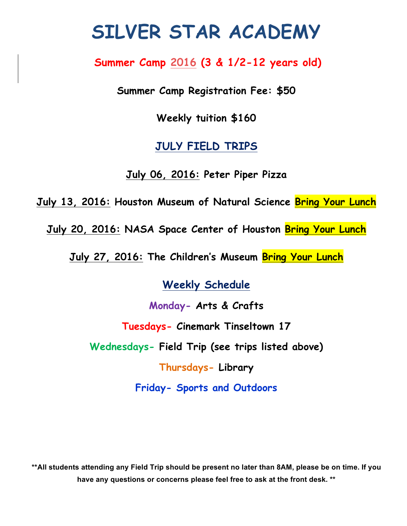# **SILVER STAR ACADEMY**

## **Summer Camp 2016 (3 & 1/2-12 years old)**

**Summer Camp Registration Fee: \$50**

**Weekly tuition \$160**

### **JULY FIELD TRIPS**

**July 06, 2016: Peter Piper Pizza** 

**July 13, 2016: Houston Museum of Natural Science Bring Your Lunch**

**July 20, 2016: NASA Space Center of Houston Bring Your Lunch**

**July 27, 2016: The Children's Museum Bring Your Lunch**

**Weekly Schedule**

**Monday- Arts & Crafts**

**Tuesdays- Cinemark Tinseltown 17** 

**Wednesdays- Field Trip (see trips listed above)**

**Thursdays- Library**

**Friday- Sports and Outdoors**

**\*\*All students attending any Field Trip should be present no later than 8AM, please be on time. If you have any questions or concerns please feel free to ask at the front desk. \*\***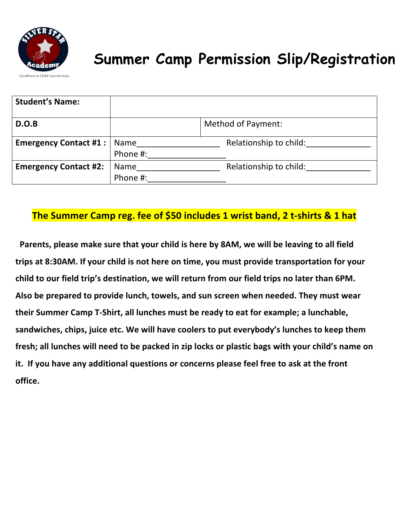

# **Summer Camp Permission Slip/Registration**

| <b>Student's Name:</b>       |             |                           |
|------------------------------|-------------|---------------------------|
| D.O.B                        |             | <b>Method of Payment:</b> |
| <b>Emergency Contact #1:</b> | Name        | Relationship to child:    |
|                              | Phone #:    |                           |
| <b>Emergency Contact #2:</b> | <b>Name</b> | Relationship to child:    |
|                              | Phone #:    |                           |

#### **The Summer Camp reg. fee of \$50 includes 1 wrist band, 2 t-shirts & 1 hat**

Parents, please make sure that your child is here by 8AM, we will be leaving to all field trips at 8:30AM. If your child is not here on time, you must provide transportation for your child to our field trip's destination, we will return from our field trips no later than 6PM. Also be prepared to provide lunch, towels, and sun screen when needed. They must wear their Summer Camp T-Shirt, all lunches must be ready to eat for example; a lunchable, sandwiches, chips, juice etc. We will have coolers to put everybody's lunches to keep them fresh; all lunches will need to be packed in zip locks or plastic bags with your child's name on it. If you have any additional questions or concerns please feel free to ask at the front **office.**